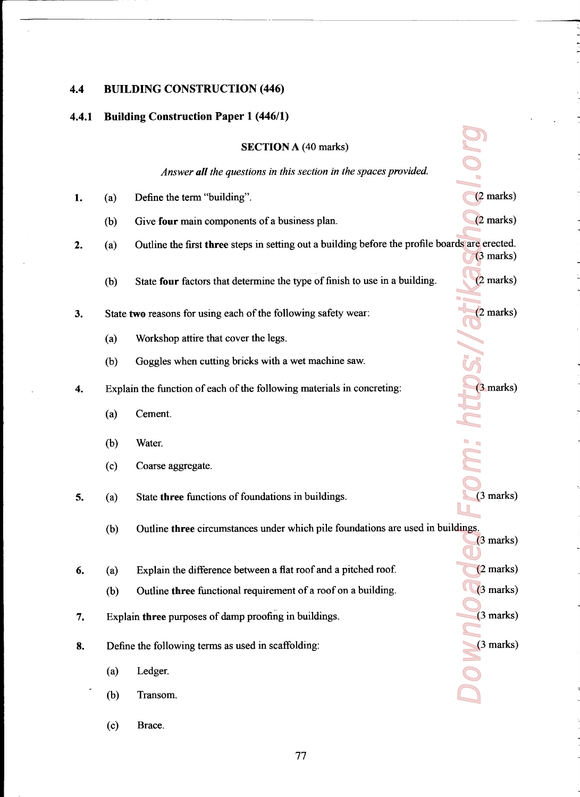### 4.4 BUILDING CONSTRUCTION (446)

### 4.4.1 Building Construction Paper 1 (446/1)

# SECTION A (40 marks)

Invr

|    |     | <b>SECTION A (40 marks)</b>                                                                    |                     |
|----|-----|------------------------------------------------------------------------------------------------|---------------------|
|    |     | Answer all the questions in this section in the spaces provided.                               |                     |
| 1. | (a) | Define the term "building".                                                                    | $(2$ marks)         |
|    | (b) | Give four main components of a business plan.                                                  | $(2 \text{ marks})$ |
| 2. | (a) | Outline the first three steps in setting out a building before the profile boards are erected. | $(3 \text{ marks})$ |
|    | (b) | State four factors that determine the type of finish to use in a building.                     | $(2 \text{ marks})$ |
| 3. |     | State two reasons for using each of the following safety wear:                                 | $(2$ marks)         |
|    | (a) | Workshop attire that cover the legs.                                                           |                     |
|    | (b) | Goggles when cutting bricks with a wet machine saw.                                            |                     |
| 4. |     | Explain the function of each of the following materials in concreting:                         | (3 marks)           |
|    | (a) | Cement.                                                                                        |                     |
|    | (b) | Water.                                                                                         |                     |
|    | (c) | Coarse aggregate.                                                                              |                     |
| 5. | (a) | State three functions of foundations in buildings.                                             | $(3$ marks)         |
|    | (b) | Outline three circumstances under which pile foundations are used in buildings.                | $(3 \text{ marks})$ |
| 6. | (a) | Explain the difference between a flat roof and a pitched roof.                                 | $(2$ marks)         |
|    | (b) | Outline three functional requirement of a roof on a building.                                  | $(3$ marks)         |
| 7. |     | Explain three purposes of damp proofing in buildings.                                          | (3 marks)           |
| 8. |     | Define the following terms as used in scaffolding:                                             | $(3 \text{ marks})$ |
|    | (a) | Ledger.                                                                                        |                     |
|    | (b) | Transom.                                                                                       |                     |

 $(c)$ Brace.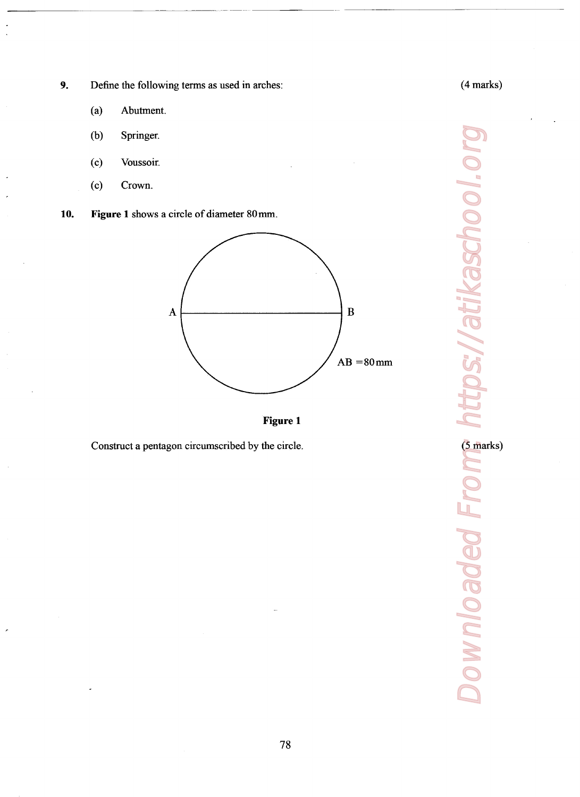9. Define the following terms as used in arches:

- (a) Abutment.
- (b) Springer.
- (0) Voussoir.
- (c) Crown.
- 10. Figure <sup>1</sup> shows <sup>a</sup> circle of diameter 80 mm.





Construct a pentagon circumscribed by the circle.

Downloaded From: https://atikaschool.org https://atikaschool.c (5 marks)Downloaded Fre

(4 marks)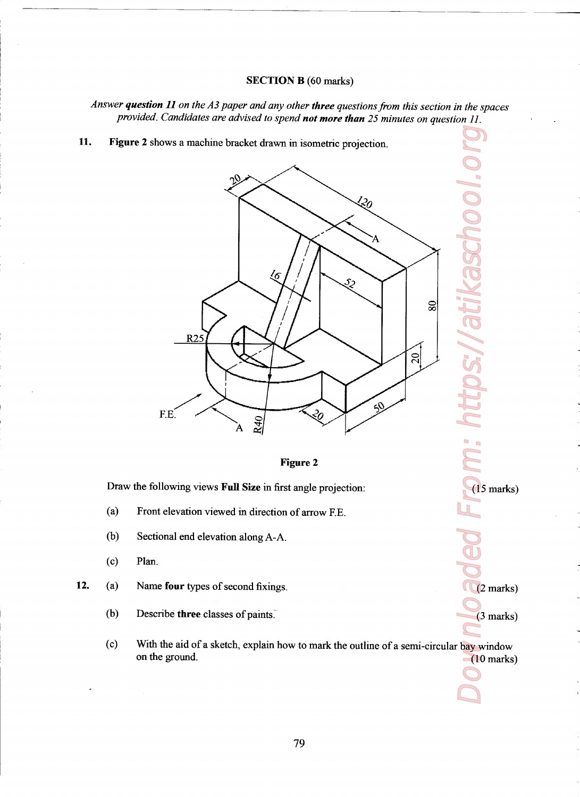## SECTION B (60 marks)

<u> Andrew State (1986), som store som store som store som store som store som store som store som som s</u>

Answer question 11 on the A3 paper and any other three questions from this section in the spaces provided. Candidates are advised to spend not more than 25 minutes on question  $11$ .

ll. Figure 2 shows a machine bracket drawn in isometric projection.



### Figure 2

( 15 marks)

(2 marks)

(3 marks)

Draw the following views Full Size in first angle projection:

- $(a)$ Front elevation viewed in direction of arrow RE.
- (b) Sectional end elevation along A-A.
- (o) Plan.
- 12. (a) Name four types of second fixings.
	- (b) Describe three classes of paints.
- Doagnload From: https://atikaschool.org (o) With the aid of a sketch, explain how to mark the outline of a semi-circular bay window on the ground. (10 marks)